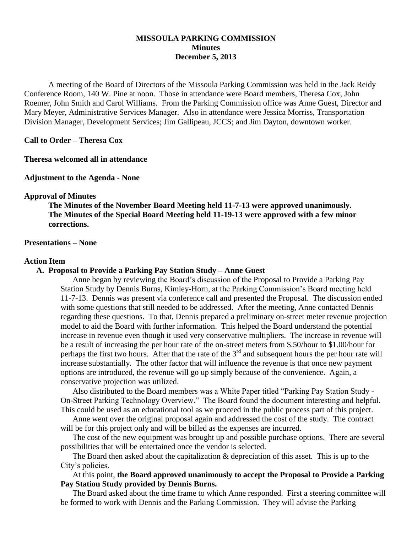## **MISSOULA PARKING COMMISSION Minutes December 5, 2013**

A meeting of the Board of Directors of the Missoula Parking Commission was held in the Jack Reidy Conference Room, 140 W. Pine at noon. Those in attendance were Board members, Theresa Cox, John Roemer, John Smith and Carol Williams. From the Parking Commission office was Anne Guest, Director and Mary Meyer, Administrative Services Manager. Also in attendance were Jessica Morriss, Transportation Division Manager, Development Services; Jim Gallipeau, JCCS; and Jim Dayton, downtown worker.

**Call to Order – Theresa Cox**

**Theresa welcomed all in attendance**

**Adjustment to the Agenda - None**

#### **Approval of Minutes**

**The Minutes of the November Board Meeting held 11-7-13 were approved unanimously. The Minutes of the Special Board Meeting held 11-19-13 were approved with a few minor corrections.**

#### **Presentations – None**

#### **Action Item**

#### **A. Proposal to Provide a Parking Pay Station Study – Anne Guest**

Anne began by reviewing the Board's discussion of the Proposal to Provide a Parking Pay Station Study by Dennis Burns, Kimley-Horn, at the Parking Commission's Board meeting held 11-7-13. Dennis was present via conference call and presented the Proposal. The discussion ended with some questions that still needed to be addressed. After the meeting, Anne contacted Dennis regarding these questions. To that, Dennis prepared a preliminary on-street meter revenue projection model to aid the Board with further information. This helped the Board understand the potential increase in revenue even though it used very conservative multipliers. The increase in revenue will be a result of increasing the per hour rate of the on-street meters from \$.50/hour to \$1.00/hour for perhaps the first two hours. After that the rate of the 3<sup>rd</sup> and subsequent hours the per hour rate will increase substantially. The other factor that will influence the revenue is that once new payment options are introduced, the revenue will go up simply because of the convenience. Again, a conservative projection was utilized.

Also distributed to the Board members was a White Paper titled "Parking Pay Station Study - On-Street Parking Technology Overview." The Board found the document interesting and helpful. This could be used as an educational tool as we proceed in the public process part of this project.

Anne went over the original proposal again and addressed the cost of the study. The contract will be for this project only and will be billed as the expenses are incurred.

The cost of the new equipment was brought up and possible purchase options. There are several possibilities that will be entertained once the vendor is selected.

The Board then asked about the capitalization & depreciation of this asset. This is up to the City's policies.

At this point, **the Board approved unanimously to accept the Proposal to Provide a Parking Pay Station Study provided by Dennis Burns.**

The Board asked about the time frame to which Anne responded. First a steering committee will be formed to work with Dennis and the Parking Commission. They will advise the Parking